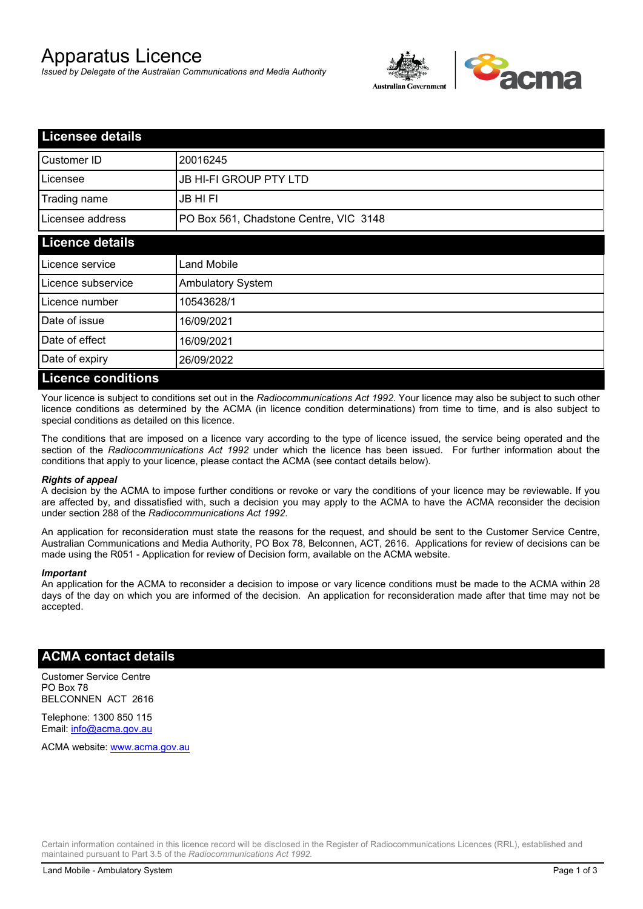# Apparatus Licence

*Issued by Delegate of the Australian Communications and Media Authority*



| <b>Licensee details</b>   |                                        |  |  |
|---------------------------|----------------------------------------|--|--|
| Customer ID               | 20016245                               |  |  |
| Licensee                  | <b>JB HI-FI GROUP PTY LTD</b>          |  |  |
| Trading name              | <b>JB HIFI</b>                         |  |  |
| Licensee address          | PO Box 561, Chadstone Centre, VIC 3148 |  |  |
| <b>Licence details</b>    |                                        |  |  |
| Licence service           | <b>Land Mobile</b>                     |  |  |
| Licence subservice        | <b>Ambulatory System</b>               |  |  |
| Licence number            | 10543628/1                             |  |  |
| Date of issue             | 16/09/2021                             |  |  |
| Date of effect            | 16/09/2021                             |  |  |
| Date of expiry            | 26/09/2022                             |  |  |
| <b>Licence conditions</b> |                                        |  |  |

Your licence is subject to conditions set out in the *Radiocommunications Act 1992*. Your licence may also be subject to such other licence conditions as determined by the ACMA (in licence condition determinations) from time to time, and is also subject to special conditions as detailed on this licence.

The conditions that are imposed on a licence vary according to the type of licence issued, the service being operated and the section of the *Radiocommunications Act 1992* under which the licence has been issued. For further information about the conditions that apply to your licence, please contact the ACMA (see contact details below).

#### *Rights of appeal*

A decision by the ACMA to impose further conditions or revoke or vary the conditions of your licence may be reviewable. If you are affected by, and dissatisfied with, such a decision you may apply to the ACMA to have the ACMA reconsider the decision under section 288 of the *Radiocommunications Act 1992*.

An application for reconsideration must state the reasons for the request, and should be sent to the Customer Service Centre, Australian Communications and Media Authority, PO Box 78, Belconnen, ACT, 2616. Applications for review of decisions can be made using the R051 - Application for review of Decision form, available on the ACMA website.

#### *Important*

An application for the ACMA to reconsider a decision to impose or vary licence conditions must be made to the ACMA within 28 days of the day on which you are informed of the decision. An application for reconsideration made after that time may not be accepted.

### **ACMA contact details**

Customer Service Centre PO Box 78 BELCONNEN ACT 2616

Telephone: 1300 850 115 Email: info@acma.gov.au

ACMA website: www.acma.gov.au

Certain information contained in this licence record will be disclosed in the Register of Radiocommunications Licences (RRL), established and maintained pursuant to Part 3.5 of the *Radiocommunications Act 1992.*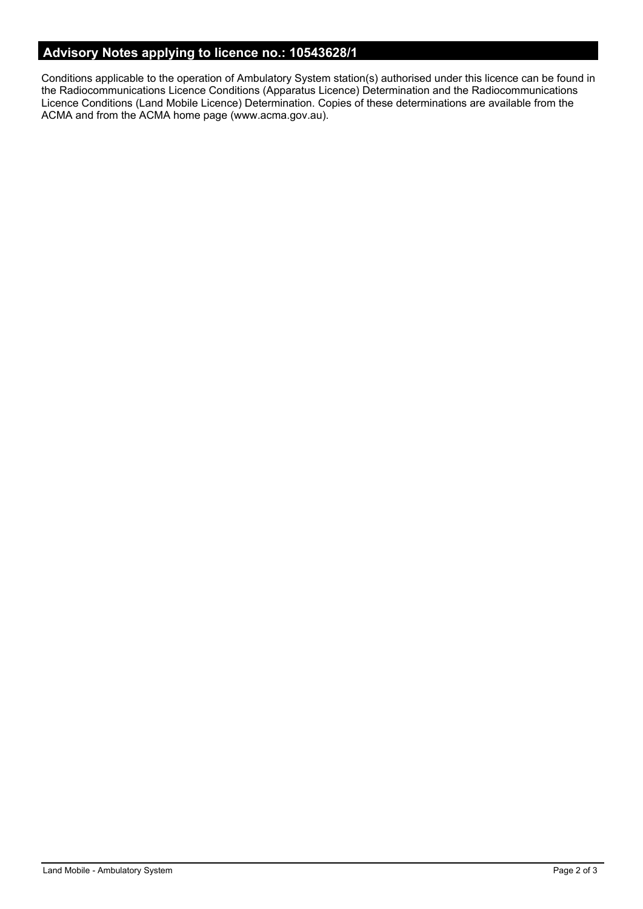# **Advisory Notes applying to licence no.: 10543628/1**

Conditions applicable to the operation of Ambulatory System station(s) authorised under this licence can be found in the Radiocommunications Licence Conditions (Apparatus Licence) Determination and the Radiocommunications Licence Conditions (Land Mobile Licence) Determination. Copies of these determinations are available from the ACMA and from the ACMA home page (www.acma.gov.au).